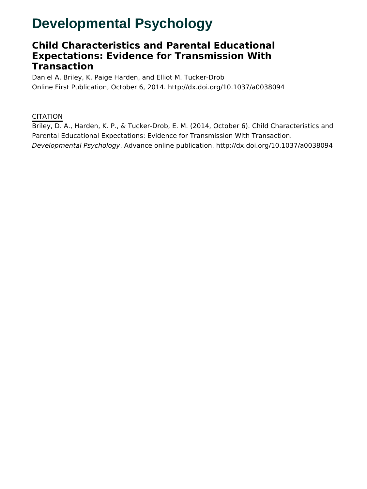# **Developmental Psychology**

# **Child Characteristics and Parental Educational Expectations: Evidence for Transmission With Transaction**

Daniel A. Briley, K. Paige Harden, and Elliot M. Tucker-Drob Online First Publication, October 6, 2014. http://dx.doi.org/10.1037/a0038094

# **CITATION**

Briley, D. A., Harden, K. P., & Tucker-Drob, E. M. (2014, October 6). Child Characteristics and Parental Educational Expectations: Evidence for Transmission With Transaction. Developmental Psychology. Advance online publication. http://dx.doi.org/10.1037/a0038094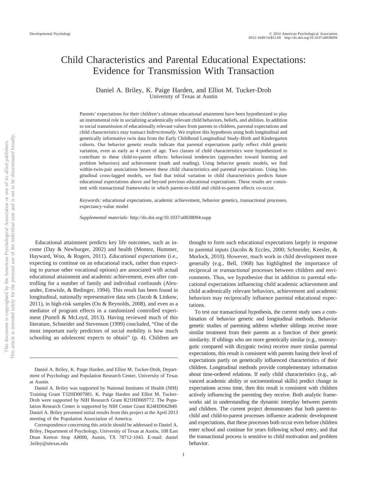# Child Characteristics and Parental Educational Expectations: Evidence for Transmission With Transaction

### Daniel A. Briley, K. Paige Harden, and Elliot M. Tucker-Drob University of Texas at Austin

Parents' expectations for their children's ultimate educational attainment have been hypothesized to play an instrumental role in socializing academically relevant child behaviors, beliefs, and abilities. In addition to social transmission of educationally relevant values from parents to children, parental expectations and child characteristics may transact *bidirectionally*. We explore this hypothesis using both longitudinal and genetically informative twin data from the Early Childhood Longitudinal Study–Birth and Kindergarten cohorts. Our behavior genetic results indicate that parental expectations partly reflect child genetic variation, even as early as 4 years of age. Two classes of child characteristics were hypothesized to contribute to these child-to-parent effects: behavioral tendencies (approaches toward learning and problem behaviors) and achievement (math and reading). Using behavior genetic models, we find within-twin-pair associations between these child characteristics and parental expectations. Using longitudinal cross-lagged models, we find that initial variation in child characteristics predicts future educational expectations above and beyond previous educational expectations. These results are consistent with transactional frameworks in which parent-to-child and child-to-parent effects co-occur.

*Keywords:* educational expectations, academic achievement, behavior genetics, transactional processes, expectancy-value model

*Supplemental materials:* http://dx.doi.org/10.1037/a0038094.supp

Educational attainment predicts key life outcomes, such as income (Day & Newburger, 2002) and health (Montez, Hummer, Hayward, Woo, & Rogers, 2011). *Educational expectations* (i.e., expecting to continue on an educational track, rather than expecting to pursue other vocational options) are associated with actual educational attainment and academic achievement, even after controlling for a number of family and individual confounds (Alexander, Entwisle, & Bedinger, 1994). This result has been found in longitudinal, nationally representative data sets (Jacob & Linkow, 2011), in high-risk samples (Ou & Reynolds, 2008), and even as a mediator of program effects in a randomized controlled experiment (Purtell & McLoyd, 2013). Having reviewed much of this literature, Schneider and Stevenson (1999) concluded, "One of the most important early predictors of social mobility is how much schooling an adolescent expects to obtain" (p. 4). Children are

thought to form such educational expectations largely in response to parental inputs (Jacobs & Eccles, 2000; Schneider, Keesler, & Morlock, 2010). However, much work in child development more generally (e.g., Bell, 1968) has highlighted the importance of reciprocal or *transactional* processes between children and environments. Thus, we hypothesize that in addition to parental educational expectations influencing child academic achievement and child academically relevant behaviors, achievement and academic behaviors may reciprocally influence parental educational expectations.

To test our transactional hypothesis, the current study uses a combination of behavior genetic and longitudinal methods. Behavior genetic studies of parenting address whether siblings receive more similar treatment from their parents as a function of their genetic similarity. If siblings who are more genetically similar (e.g., monozygotic compared with dizygotic twins) receive more similar parental expectations, this result is consistent with parents basing their level of expectations partly on genetically influenced characteristics of their children. Longitudinal methods provide complementary information about time-ordered relations. If early child characteristics (e.g., advanced academic ability or socioemotional skills) predict change in expectations across time, then this result is consistent with children actively influencing the parenting they receive. Both analytic frameworks aid in understanding the dynamic interplay between parents and children. The current project demonstrates that both parent-tochild and child-to-parent processes influence academic development and expectations, that these processes both occur even before children enter school and continue for years following school entry, and that the transactional process is sensitive to child motivation and problem behavior.

Daniel A. Briley, K. Paige Harden, and Elliot M. Tucker-Drob, Department of Psychology and Population Research Center, University of Texas at Austin.

Daniel A. Briley was supported by National Institutes of Health (NIH) Training Grant T32HD007081. K. Paige Harden and Elliot M. Tucker-Drob were supported by NIH Research Grant R21HD069772. The Population Research Center is supported by NIH Center Grant R24HD042849. Daniel A. Briley presented initial results from this project at the April 2013 meeting of the Population Association of America.

Correspondence concerning this article should be addressed to Daniel A. Briley, Department of Psychology, University of Texas at Austin, 108 East Dean Keeton Stop A8000, Austin, TX 78712-1043. E-mail: daniel .briley@utexas.edu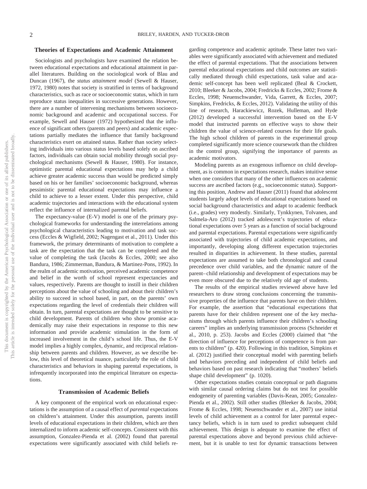#### **Theories of Expectations and Academic Attainment**

Sociologists and psychologists have examined the relation between educational expectations and educational attainment in parallel literatures. Building on the sociological work of Blau and Duncan (1967), the *status attainment model* (Sewell & Hauser, 1972, 1980) notes that society is stratified in terms of background characteristics, such as race or socioeconomic status, which in turn reproduce status inequalities in successive generations. However, there are a number of intervening mechanisms between socioeconomic background and academic and occupational success. For example, Sewell and Hauser (1972) hypothesized that the influence of significant others (parents and peers) and academic expectations partially mediates the influence that family background characteristics exert on attained status. Rather than society selecting individuals into various status levels based solely on ascribed factors, individuals can obtain social mobility through social psychological mechanisms (Sewell & Hauser, 1980). For instance, optimistic parental educational expectations may help a child achieve greater academic success than would be predicted simply based on his or her families' socioeconomic background, whereas pessimistic parental educational expectations may influence a child to achieve to a lesser extent. Under this perspective, child academic trajectories and interactions with the educational system reflect the influence of internalized parental beliefs.

The expectancy-value (E-V) model is one of the primary psychological frameworks for understanding the interrelations among psychological characteristics leading to motivation and task success (Eccles & Wigfield, 2002; Nagengast et al., 2011). Under this framework, the primary determinants of motivation to complete a task are the expectation that the task can be completed and the value of completing the task (Jacobs & Eccles, 2000; see also Bandura, 1986; Zimmerman, Bandura, & Martinez-Pons, 1992). In the realm of academic motivation, perceived academic competence and belief in the worth of school represent expectancies and values, respectively. Parents are thought to instill in their children perceptions about the value of schooling and about their children's ability to succeed in school based, in part, on the parents' own expectations regarding the level of credentials their children will obtain. In turn, parental expectations are thought to be sensitive to child development. Parents of children who show promise academically may raise their expectations in response to this new information and provide academic stimulation in the form of increased involvement in the child's school life. Thus, the E-V model implies a highly complex, dynamic, and reciprocal relationship between parents and children. However, as we describe below, this level of theoretical nuance, particularly the role of child characteristics and behaviors in shaping parental expectations, is infrequently incorporated into the empirical literature on expectations.

#### **Transmission of Academic Beliefs**

A key component of the empirical work on educational expectations is the assumption of a causal effect of *parental* expectations on children's attainment. Under this assumption, parents instill levels of educational expectations in their children, which are then internalized to inform academic self-concepts. Consistent with this assumption, Gonzalez-Pienda et al. (2002) found that parental expectations were significantly associated with child beliefs re-

garding competence and academic aptitude. These latter two variables were significantly associated with achievement and mediated the effect of parental expectations. That the associations between parental educational expectations and child outcomes are statistically mediated through child expectations, task value and academic self-concept has been well replicated (Beal & Crockett, 2010; Bleeker & Jacobs, 2004; Fredricks & Eccles, 2002; Frome & Eccles, 1998; Neuenschwander, Vida, Garrett, & Eccles, 2007; Simpkins, Fredricks, & Eccles, 2012). Validating the utility of this line of research, Harackiewicz, Rozek, Hulleman, and Hyde (2012) developed a successful intervention based on the E-V model that instructed parents on effective ways to show their children the value of science-related courses for their life goals. The high school children of parents in the experimental group completed significantly more science coursework than the children in the control group, signifying the importance of parents as academic motivators.

Modeling parents as an exogenous influence on child development, as is common in expectations research, makes intuitive sense when one considers that many of the other influences on academic success are ascribed factors (e.g., socioeconomic status). Supporting this position, Andrew and Hauser (2011) found that adolescent students largely adopt levels of educational expectations based on social background characteristics and adapt to academic feedback (i.e., grades) very modestly. Similarly, Tynkkynen, Tolvanen, and Salmela-Aro (2012) tracked adolescent's trajectories of educational expectations over 5 years as a function of social background and parental expectations. Parental expectations were significantly associated with trajectories of child academic expectations, and importantly, developing along different expectation trajectories resulted in disparities in achievement. In these studies, parental expectations are assumed to take both chronological and causal precedence over child variables, and the dynamic nature of the parent– child relationship and development of expectations may be even more obscured due to the relatively old age of students.

The results of the empirical studies reviewed above have led researchers to draw strong conclusions concerning the transmissive properties of the influence that parents have on their children. For example, the assertion that "educational expectations that parents have for their children represent one of the key mechanisms through which parents influence their children's schooling careers" implies an underlying transmission process (Schneider et al., 2010, p. 253). Jacobs and Eccles (2000) claimed that "the direction of influence for perceptions of competence is from parents to children" (p. 420). Following in this tradition, Simpkins et al. (2012) justified their conceptual model with parenting beliefs and behaviors preceding and independent of child beliefs and behaviors based on past research indicating that "mothers' beliefs shape child development" (p. 1020).

Other expectations studies contain conceptual or path diagrams with similar causal ordering claims but do not test for possible endogeneity of parenting variables (Davis-Kean, 2005; Gonzalez-Pienda et al., 2002). Still other studies (Bleeker & Jacobs, 2004; Frome & Eccles, 1998; Neuenschwander et al., 2007) use initial levels of child achievement as a control for later parental expectancy beliefs, which is in turn used to predict subsequent child achievement. This design is adequate to examine the effect of parental expectations above and beyond previous child achievement, but it is unable to test for dynamic transactions between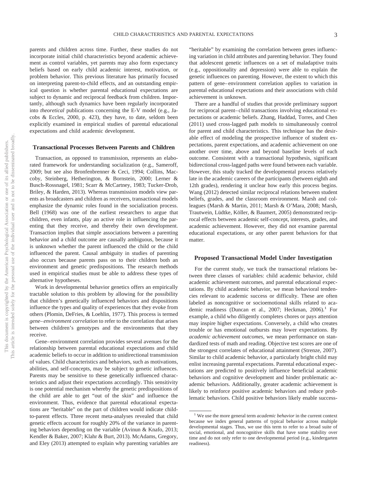parents and children across time. Further, these studies do not incorporate initial child characteristics beyond academic achievement as control variables, yet parents may also form expectancy beliefs based on early child academic interest, motivation, or problem behavior. This previous literature has primarily focused on interpreting parent-to-child effects, and an outstanding empirical question is whether parental educational expectations are subject to dynamic and reciprocal feedback from children. Importantly, although such dynamics have been regularly incorporated into *theoretical* publications concerning the E-V model (e.g., Jacobs & Eccles, 2000, p. 423), they have, to date, seldom been explicitly examined in empirical studies of parental educational expectations and child academic development.

### **Transactional Processes Between Parents and Children**

Transaction, as opposed to transmission, represents an elaborated framework for understanding socialization (e.g., Sameroff, 2009; but see also Bronfenbrenner & Ceci, 1994; Collins, Maccoby, Steinberg, Hetherington, & Bornstein, 2000; Lerner & Busch-Rossnagel, 1981; Scarr & McCartney, 1983; Tucker-Drob, Briley, & Harden, 2013). Whereas transmission models view parents as broadcasters and children as receivers, transactional models emphasize the dynamic roles found in the socialization process. Bell (1968) was one of the earliest researchers to argue that children, even infants, play an active role in influencing the parenting that they receive, and thereby their own development. Transaction implies that simple associations between a parenting behavior and a child outcome are causally ambiguous, because it is unknown whether the parent influenced the child or the child influenced the parent. Causal ambiguity in studies of parenting also occurs because parents pass on to their children both an environment and genetic predispositions. The research methods used in empirical studies must be able to address these types of alternative hypotheses.

Work in developmental behavior genetics offers an empirically tractable solution to this problem by allowing for the possibility that children's genetically influenced behaviors and dispositions influence the types and quality of experiences that they evoke from others (Plomin, DeFries, & Loehlin, 1977). This process is termed *gene– environment correlation* to refer to the correlation that arises between children's genotypes and the environments that they receive.

Gene– environment correlation provides several avenues for the relationship between parental educational expectations and child academic beliefs to occur in addition to unidirectional transmission of values. Child characteristics and behaviors, such as motivations, abilities, and self-concepts, may be subject to genetic influences. Parents may be sensitive to these genetically influenced characteristics and adjust their expectations accordingly. This sensitivity is one potential mechanism whereby the genetic predispositions of the child are able to get "out of the skin" and influence the environment. Thus, evidence that parental educational expectations are "heritable" on the part of children would indicate childto-parent effects. Three recent meta-analyses revealed that child genetic effects account for roughly 20% of the variance in parenting behaviors depending on the variable (Avinun & Knafo, 2013; Kendler & Baker, 2007; Klahr & Burt, 2013). McAdams, Gregory, and Eley (2013) attempted to explain why parenting variables are

"heritable" by examining the correlation between genes influencing variation in child attributes and parenting behavior. They found that adolescent genetic influences on a set of maladaptive traits (e.g., oppositionality and depression) were able to explain the genetic influences on parenting. However, the extent to which this pattern of gene– environment correlation applies to variation in parental educational expectations and their associations with child achievement is unknown.

There are a handful of studies that provide preliminary support for reciprocal parent– child transactions involving educational expectations or academic beliefs. Zhang, Haddad, Torres, and Chen (2011) used cross-lagged path models to simultaneously control for parent and child characteristics. This technique has the desirable effect of modeling the prospective influence of student expectations, parent expectations, and academic achievement on one another over time, above and beyond baseline levels of each outcome. Consistent with a transactional hypothesis, significant bidirectional cross-lagged paths were found between each variable. However, this study tracked the developmental process relatively late in the academic careers of the participants (between eighth and 12th grades), rendering it unclear how early this process begins. Wang (2012) detected similar reciprocal relations between student beliefs, grades, and the classroom environment. Marsh and colleagues (Marsh & Martin, 2011; Marsh & O'Mara, 2008; Marsh, Trautwein, Lüdtke, Köller, & Baumert, 2005) demonstrated reciprocal effects between academic self-concept, interests, grades, and academic achievement. However, they did not examine parental educational expectations, or any other parent behaviors for that matter.

### **Proposed Transactional Model Under Investigation**

For the current study, we track the transactional relations between three classes of variables: child academic behavior, child academic achievement outcomes, and parental educational expectations. By child academic behavior, we mean behavioral tendencies relevant to academic success or difficulty. These are often labeled as noncognitive or socioemotional skills related to academic readiness (Duncan et al., 2007; Heckman, 2006).<sup>1</sup> For example, a child who diligently completes chores or pays attention may inspire higher expectations. Conversely, a child who creates trouble or has emotional outbursts may lower expectations. By *academic achievement outcomes*, we mean performance on standardized tests of math and reading. Objective test scores are one of the strongest correlates of educational attainment (Strenze, 2007). Similar to child academic behavior, a particularly bright child may enlist increasing parental expectations. Parental educational expectations are predicted to positively influence beneficial academic behaviors and cognitive development and hinder problematic academic behaviors. Additionally, greater academic achievement is likely to reinforce positive academic behaviors and reduce problematic behaviors. Child positive behaviors likely enable success-

<sup>1</sup> We use the more general term *academic behavior* in the current context because we index general patterns of typical behavior across multiple developmental stages. Thus, we use this term to refer to a broad suite of social, emotional, and noncognitive skills that have some stability over time and do not only refer to one developmental period (e.g., kindergarten readiness).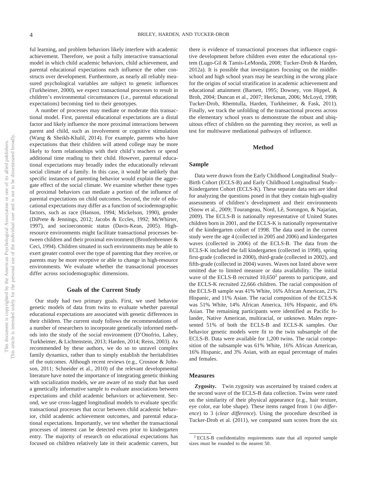ful learning, and problem behaviors likely interfere with academic achievement. Therefore, we posit a fully interactive transactional model in which child academic behaviors, child achievement, and parental educational expectations each influence the other constructs over development. Furthermore, as nearly all reliably measured psychological variables are subject to genetic influences (Turkheimer, 2000), we expect transactional processes to result in children's environmental circumstances (i.e., parental educational expectations) becoming tied to their genotypes.

A number of processes may mediate or moderate this transactional model. First, parental educational expectations are a distal factor and likely influence the more proximal interactions between parent and child, such as involvement or cognitive stimulation (Wang & Sheikh-Khalil, 2014). For example, parents who have expectations that their children will attend college may be more likely to form relationships with their child's teachers or spend additional time reading to their child. However, parental educational expectations may broadly index the educationally relevant social climate of a family. In this case, it would be unlikely that specific instances of parenting behavior would explain the aggregate effect of the social climate. We examine whether these types of proximal behaviors can mediate a portion of the influence of parental expectations on child outcomes. Second, the role of educational expectations may differ as a function of sociodemographic factors, such as race (Hanson, 1994; Mickelson, 1990), gender (DiPrete & Jennings, 2012; Jacobs & Eccles, 1992; McWhirter, 1997), and socioeconomic status (Davis-Kean, 2005). Highresource environments might facilitate transactional processes between children and their proximal environment (Bronfenbrenner & Ceci, 1994). Children situated in such environments may be able to exert greater control over the type of parenting that they receive, or parents may be more receptive or able to change in high-resource environments. We evaluate whether the transactional processes differ across sociodemographic dimensions.

#### **Goals of the Current Study**

Our study had two primary goals. First, we used behavior genetic models of data from twins to evaluate whether parental educational expectations are associated with genetic differences in their children. The current study follows the recommendations of a number of researchers to incorporate genetically informed methods into the study of the social environment (D'Onofrio, Lahey, Turkheimer, & Lichtenstein, 2013; Harden, 2014; Reiss, 2003). As recommended by these authors, we do so to unravel complex family dynamics, rather than to simply establish the heritabilities of the outcomes. Although recent reviews (e.g., Crosnoe & Johnson, 2011; Schneider et al., 2010) of the relevant developmental literature have noted the importance of integrating genetic thinking with socialization models, we are aware of no study that has used a genetically informative sample to evaluate associations between expectations and child academic behaviors or achievement. Second, we use cross-lagged longitudinal models to evaluate specific transactional processes that occur between child academic behavior, child academic achievement outcomes, and parental educational expectations. Importantly, we test whether the transactional processes of interest can be detected even prior to kindergarten entry. The majority of research on educational expectations has focused on children relatively late in their academic careers, but there is evidence of transactional processes that influence cognitive development before children even enter the educational system (Lugo-Gil & Tamis-LeMonda, 2008; Tucker-Drob & Harden, 2012a). It is possible that investigators focusing on the middleschool and high school years may be searching in the wrong place for the origins of social stratification in academic achievement and educational attainment (Barnett, 1995; Downey, von Hippel, & Broh, 2004; Duncan et al., 2007; Heckman, 2006; McLoyd, 1998; Tucker-Drob, Rhemtulla, Harden, Turkheimer, & Fask, 2011). Finally, we track the unfolding of the transactional process across the elementary school years to demonstrate the robust and ubiquitous effect of children on the parenting they receive, as well as test for multiwave mediational pathways of influence.

#### **Method**

#### **Sample**

Data were drawn from the Early Childhood Longitudinal Study– Birth Cohort (ECLS-B) and Early Childhood Longitudinal Study– Kindergarten Cohort (ECLS-K). These separate data sets are ideal for analyzing the questions posed in that they contain high-quality assessments of children's development and their environments (Snow et al., 2009; Tourangeau, Nord, Lê, Sorongon, & Najarian, 2009). The ECLS-B is nationally representative of United States children born in 2001, and the ECLS-K is nationally representative of the kindergarten cohort of 1998. The data used in the current study were the age 4 (collected in 2005 and 2006) and kindergarten waves (collected in 2006) of the ECLS-B. The data from the ECLS-K included the fall kindergarten (collected in 1998), spring first-grade (collected in 2000), third-grade (collected in 2002), and fifth-grade (collected in 2004) waves. Waves not listed above were omitted due to limited measure or data availability. The initial wave of the ECLS-B recruited  $10,650^2$  parents to participate, and the ECLS-K recruited 22,666 children. The racial composition of the ECLS-B sample was 41% White, 16% African American, 21% Hispanic, and 11% Asian. The racial composition of the ECLS-K was 51% White, 14% African America, 16% Hispanic, and 6% Asian. The remaining participants were identified as Pacific Islander, Native American, multiracial, or unknown. Males represented 51% of both the ECLS-B and ECLS-K samples. Our behavior genetic models were fit to the twin subsample of the ECLS-B. Data were available for 1,200 twins. The racial composition of the subsample was 61% White, 16% African American, 16% Hispanic, and 3% Asian, with an equal percentage of males and females.

#### **Measures**

**Zygosity.** Twin zygosity was ascertained by trained coders at the second wave of the ECLS-B data collection. Twins were rated on the similarity of their physical appearance (e.g., hair texture, eye color, ear lobe shape). These items ranged from 1 (*no difference*) to 3 (*clear difference*). Using the procedure described in Tucker-Drob et al. (2011), we computed sum scores from the six

<sup>2</sup> ECLS-B confidentiality requirements state that all reported sample sizes must be rounded to the nearest 50.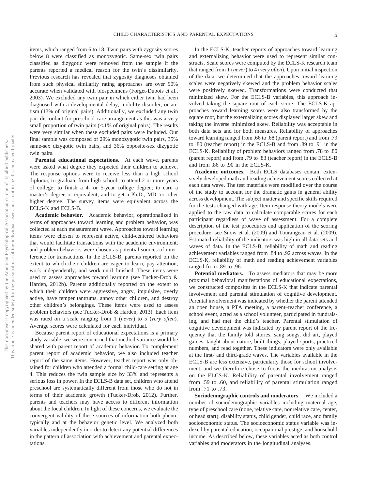items, which ranged from 6 to 18. Twin pairs with zygosity scores below 8 were classified as monozygotic. Same-sex twin pairs classified as dizygotic were removed from the sample if the parents reported a medical reason for the twin's dissimilarity. Previous research has revealed that zygosity diagnoses obtained from such physical similarity rating approaches are over 90% accurate when validated with biospecimens (Forget-Dubois et al., 2003). We excluded any twin pair in which either twin had been diagnosed with a developmental delay, mobility disorder, or autism (13% of original pairs). Additionally, we excluded any twin pair discordant for preschool care arrangement as this was a very small proportion of twin pairs  $(< 1\%$  of original pairs). The results were very similar when these excluded pairs were included. Our final sample was composed of 29% monozygotic twin pairs, 35% same-sex dizygotic twin pairs, and 36% opposite-sex dizygotic twin pairs.

**Parental educational expectations.** At each wave, parents were asked what degree they expected their children to achieve. The response options were to receive less than a high school diploma; to graduate from high school; to attend 2 or more years of college; to finish a 4- or 5-year college degree; to earn a master's degree or equivalent; and to get a Ph.D., MD, or other higher degree. The survey items were equivalent across the ECLS-K and ECLS-B.

**Academic behavior.** Academic behavior, operationalized in terms of approaches toward learning and problem behavior, was collected at each measurement wave. Approaches toward learning items were chosen to represent active, child-centered behaviors that would facilitate transactions with the academic environment, and problem behaviors were chosen as potential sources of interference for transactions. In the ECLS-B, parents reported on the extent to which their children are eager to learn, pay attention, work independently, and work until finished. These items were used to assess approaches toward learning (see Tucker-Drob & Harden, 2012b). Parents additionally reported on the extent to which their children were aggressive, angry, impulsive, overly active, have temper tantrums, annoy other children, and destroy other children's belongings. These items were used to assess problem behaviors (see Tucker-Drob & Harden, 2013). Each item was rated on a scale ranging from 1 (*never*) to 5 (*very often*). Average scores were calculated for each individual.

Because parent report of educational expectations is a primary study variable, we were concerned that method variance would be shared with parent report of academic behavior. To complement parent report of academic behavior, we also included teacher report of the same items. However, teacher report was only obtained for children who attended a formal child-care setting at age 4. This reduces the twin sample size by 33% and represents a serious loss in power. In the ECLS-B data set, children who attend preschool are systematically different from those who do not in terms of their academic growth (Tucker-Drob, 2012). Further, parents and teachers may have access to different information about the focal children. In light of these concerns, we evaluate the convergent validity of these sources of information both phenotypically and at the behavior genetic level. We analyzed both variables independently in order to detect any potential differences in the pattern of association with achievement and parental expectations.

In the ECLS-K, teacher reports of approaches toward learning and externalizing behavior were used to represent similar constructs. Scale scores were computed by the ECLS-K research team that ranged from 1 (*never*) to 4 (*very often*). Upon initial inspection of the data, we determined that the approaches toward learning scales were negatively skewed and the problem behavior scales were positively skewed. Transformations were conducted that minimized skew. For the ECLS-B variables, this approach involved taking the square root of each score. The ECLS-K approaches toward learning scores were also transformed by the square root, but the externalizing scores displayed larger skew and taking the inverse minimized skew. Reliability was acceptable in both data sets and for both measures. Reliability of approaches toward learning ranged from .66 to .68 (parent report) and from .79 to .80 (teacher report) in the ECLS-B and from .89 to .91 in the ECLS-K. Reliability of problem behaviors ranged from .78 to .80 (parent report) and from .79 to .83 (teacher report) in the ECLS-B and from .86 to .90 in the ECLS-K.

**Academic outcomes.** Both ECLS databases contain extensively developed math and reading achievement scores collected at each data wave. The test materials were modified over the course of the study to account for the dramatic gains in general ability across development. The subject matter and specific skills required for the tests changed with age. Item response theory models were applied to the raw data to calculate comparable scores for each participant regardless of wave of assessment. For a complete description of the test procedures and application of the scoring procedure, see Snow et al. (2009) and Tourangeau et al. (2009). Estimated reliability of the indicators was high in all data sets and waves of data. In the ECLS-B, reliability of math and reading achievement variables ranged from .84 to .92 across waves. In the ECLS-K, reliability of math and reading achievement variables ranged from .89 to .96.

**Potential mediators.** To assess mediators that may be more proximal behavioral manifestations of educational expectations, we constructed composites in the ECLS-K that indicate parental involvement and parental stimulation of cognitive development. Parental involvement was indicated by whether the parent attended an open house, a PTA meeting, a parent–teacher conference, a school event, acted as a school volunteer, participated in fundraising, and had met the child's teacher. Parental stimulation of cognitive development was indicated by parent report of the frequency that the family told stories, sang songs, did art, played games, taught about nature, built things, played sports, practiced numbers, and read together. These indicators were only available at the first- and third-grade waves. The variables available in the ECLS-B are less extensive, particularly those for school involvement, and we therefore chose to focus the meditation analysis on the ELCS-K. Reliability of parental involvement ranged from .59 to .60, and reliability of parental stimulation ranged from .71 to .73.

**Sociodemographic controls and moderators.** We included a number of sociodemographic variables including maternal age, type of preschool care (none, relative care, nonrelative care, center, or head start), disability status, child gender, child race, and family socioeconomic status. The socioeconomic status variable was indexed by parental education, occupational prestige, and household income. As described below, these variables acted as both control variables and moderators in the longitudinal analyses.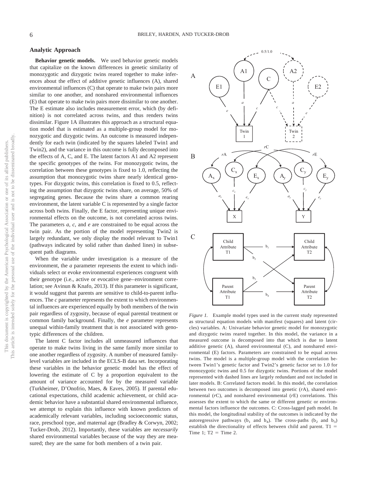## **Analytic Approach**

**Behavior genetic models.** We used behavior genetic models that capitalize on the known differences in genetic similarity of monozygotic and dizygotic twins reared together to make inferences about the effect of additive genetic influences (A), shared environmental influences (C) that operate to make twin pairs more similar to one another, and nonshared environmental influences (E) that operate to make twin pairs more dissimilar to one another. The E estimate also includes measurement error, which (by definition) is not correlated across twins, and thus renders twins dissimilar. Figure 1A illustrates this approach as a structural equation model that is estimated as a multiple-group model for monozygotic and dizygotic twins. An outcome is measured independently for each twin (indicated by the squares labeled Twin1 and Twin2), and the variance in this outcome is fully decomposed into the effects of A, C, and E. The latent factors A1 and A2 represent the specific genotypes of the twins. For monozygotic twins, the correlation between these genotypes is fixed to 1.0, reflecting the assumption that monozygotic twins share nearly identical genotypes. For dizygotic twins, this correlation is fixed to 0.5, reflecting the assumption that dizygotic twins share, on average, 50% of segregating genes. Because the twins share a common rearing environment, the latent variable C is represented by a single factor across both twins. Finally, the E factor, representing unique environmental effects on the outcome, is not correlated across twins. The parameters *a*, *c*, and *e* are constrained to be equal across the twin pair. As the portion of the model representing Twin2 is largely redundant, we only display the model relevant to Twin1 (pathways indicated by solid rather than dashed lines) in subsequent path diagrams.

When the variable under investigation is a measure of the environment, the *a* parameter represents the extent to which individuals select or evoke environmental experiences congruent with their genotype (i.e., active or evocative gene– environment correlation; see Avinun & Knafo, 2013). If this parameter is significant, it would suggest that parents are sensitive to child-to-parent influences. The *c* parameter represents the extent to which environmental influences are experienced equally by both members of the twin pair regardless of zygosity, because of equal parental treatment or common family background. Finally, the *e* parameter represents unequal within-family treatment that is not associated with genotypic differences of the children.

The latent C factor includes all unmeasured influences that operate to make twins living in the same family more similar to one another regardless of zygosity. A number of measured familylevel variables are included in the ECLS-B data set. Incorporating these variables in the behavior genetic model has the effect of lowering the estimate of C by a proportion equivalent to the amount of variance accounted for by the measured variable (Turkheimer, D'Onofrio, Maes, & Eaves, 2005). If parental educational expectations, child academic achievement, or child academic behavior have a substantial shared environmental influence, we attempt to explain this influence with known predictors of academically relevant variables, including socioeconomic status, race, preschool type, and maternal age (Bradley & Corwyn, 2002; Tucker-Drob, 2012). Importantly, these variables are *necessarily* shared environmental variables because of the way they are measured; they are the same for both members of a twin pair.



*Figure 1.* Example model types used in the current study represented as structural equation models with manifest (squares) and latent (circles) variables. A: Univariate behavior genetic model for monozygotic and dizygotic twins reared together. In this model, the variance in a measured outcome is decomposed into that which is due to latent additive genetic (A), shared environmental (C), and nonshared environmental (E) factors. Parameters are constrained to be equal across twins. The model is a multiple-group model with the correlation between Twin1's genetic factor and Twin2's genetic factor set to 1.0 for monozygotic twins and 0.5 for dizygotic twins. Portions of the model represented with dashed lines are largely redundant and not included in later models. B: Correlated factors model. In this model, the correlation between two outcomes is decomposed into genetic (*r*A), shared environmental (*r*C), and nonshared environmental (*r*E) correlations. This assesses the extent to which the same or different genetic or environmental factors influence the outcomes. C: Cross-lagged path model. In this model, the longitudinal stability of the outcomes is indicated by the autoregressive pathways ( $b_1$  and  $b_4$ ). The cross-paths ( $b_2$  and  $b_3$ ) establish the directionality of effects between child and parent. T1 Time 1:  $T2 =$  Time 2.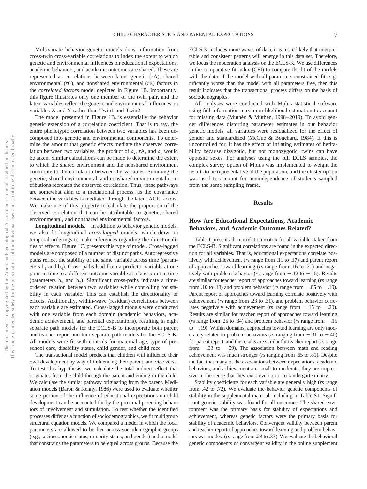Multivariate behavior genetic models draw information from cross-twin cross-variable correlations to index the extent to which genetic and environmental influences on educational expectations, academic behaviors, and academic outcomes are shared. These are represented as correlations between latent genetic (*r*A), shared environmental (*r*C), and nonshared environmental (*r*E) factors in the *correlated factors* model depicted in Figure 1B. Importantly, this figure illustrates only one member of the twin pair, and the latent variables reflect the genetic and environmental influences on variables X and Y rather than Twin1 and Twin2.

The model presented in Figure 1B. is essentially the behavior genetic extension of a correlation coefficient. That is to say, the entire phenotypic correlation between two variables has been decomposed into genetic and environmental components. To determine the amount that genetic effects mediate the observed correlation between two variables, the product of  $a_x$ ,  $rA$ , and  $a_y$  would be taken. Similar calculations can be made to determine the extent to which the shared environment and the nonshared environment contribute to the correlation between the variables. Summing the genetic, shared environmental, and nonshared environmental contributions recreates the observed correlation. Thus, these pathways are somewhat akin to a mediational process, as the covariance between the variables is mediated through the latent ACE factors. We make use of this property to calculate the proportion of the observed correlation that can be attributable to genetic, shared environmental, and nonshared environmental factors.

**Longitudinal models.** In addition to behavior genetic models, we also fit longitudinal *cross-lagged* models, which draw on temporal orderings to make inferences regarding the directionalities of effects. Figure 1C. presents this type of model. Cross-lagged models are composed of a number of distinct paths. Autoregressive paths reflect the stability of the same variable across time (parameters  $b_1$  and  $b_4$ ). Cross-paths lead from a predictor variable at one point in time to a different outcome variable at a later point in time (parameters  $b_2$  and  $b_3$ ). Significant cross-paths indicate a timeordered relation between two variables while controlling for stability in each variable. This can establish the directionality of effects. Additionally, within-wave (residual) correlations between each variable are estimated. Cross-lagged models were conducted with one variable from each domain (academic behaviors, academic achievement, and parental expectations), resulting in eight separate path models for the ECLS-B to incorporate both parent and teacher report and four separate path models for the ECLS-K. All models were fit with controls for maternal age, type of preschool care, disability status, child gender, and child race.

The transactional model predicts that children will influence their own development by way of influencing their parent, and vice versa. To test this hypothesis, we calculate the total indirect effect that originates from the child through the parent and ending in the child. We calculate the similar pathway originating from the parent. Mediation models (Baron & Kenny, 1986) were used to evaluate whether some portion of the influence of educational expectations on child development can be accounted for by the proximal parenting behaviors of involvement and stimulation. To test whether the identified processes differ as a function of sociodemographics, we fit multigroup structural equation models. We compared a model in which the focal parameters are allowed to be free across sociodemographic groups (e.g., socioeconomic status, minority status, and gender) and a model that constrains the parameters to be equal across groups. Because the

ECLS-K includes more waves of data, it is more likely that interpretable and consistent patterns will emerge in this data set. Therefore, we focus the moderation analysis on the ECLS-K. We use differences in the comparative fit index (CFI) to compare the fit of the models with the data. If the model with all parameters constrained fits significantly worse than the model with all parameters free, then this result indicates that the transactional process differs on the basis of sociodemograpics.

All analyses were conducted with Mplus statistical software using full-information maximum-likelihood estimation to account for missing data (Muthén & Muthén, 1998 –2010). To avoid gender differences distorting parameter estimates in our behavior genetic models, all variables were residualized for the effect of gender and standardized (McGue & Bouchard, 1984). If this is uncontrolled for, it has the effect of inflating estimates of heritability because dizygotic, but not monozygotic, twins can have opposite sexes. For analyses using the full ECLS samples, the complex survey option of Mplus was implemented to weight the results to be representative of the population, and the cluster option was used to account for nonindependence of students sampled from the same sampling frame.

# **Results**

# **How Are Educational Expectations, Academic Behaviors, and Academic Outcomes Related?**

Table 1 presents the correlation matrix for all variables taken from the ECLS-B. Significant correlations are found in the expected direction for all variables. That is, educational expectations correlate positively with achievement (*r*s range from .11 to .17) and parent report of approaches toward learning (*r*s range from .16 to .21) and negatively with problem behavior (*rs* range from  $-.12$  to  $-.15$ ). Results are similar for teacher report of approaches toward learning (*r*s range from .10 to .13) and problem behavior (*rs* range from  $-.05$  to  $-.10$ ). Parent report of approaches toward learning correlate positively with achievement (*r*s range from .23 to .31), and problem behavior correlates negatively with achievement ( $r s$  range from  $-.15$  to  $-.20$ ). Results are similar for teacher report of approaches toward learning ( $r s$  range from .25 to .34) and problem behavior ( $r s$  range from  $-.15$ to  $-.19$ ). Within domains, approaches toward learning are only moderately related to problem behaviors ( $r$ s ranging from  $-.31$  to  $-.40$ ) for parent report, and the results are similar for teacher report (*r*s range from  $-.33$  to  $-.59$ ). The association between math and reading achievement was much stronger (*r*s ranging from .65 to .81). Despite the fact that many of the associations between expectations, academic behaviors, and achievement are small to moderate, they are impressive in the sense that they exist even prior to kindergarten entry.

Stability coefficients for each variable are generally high (*r*s range from .42 to .72). We evaluate the behavior genetic components of stability in the supplemental material, including in Table S1. Significant genetic stability was found for all outcomes. The shared environment was the primary basis for stability of expectations and achievement, whereas genetic factors were the primary basis for stability of academic behaviors. Convergent validity between parent and teacher report of approaches toward learning and problem behaviors was modest (*r*s range from .24 to .37). We evaluate the behavioral genetic components of convergent validity in the online supplement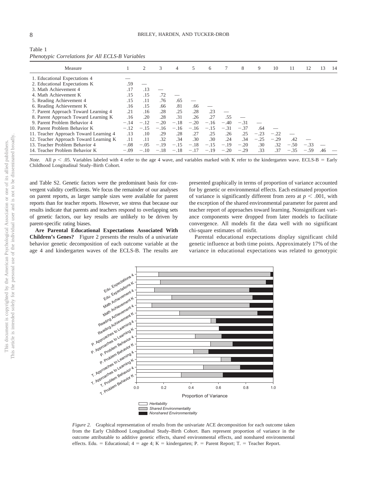| Measure                                |        | 2      | 3      | 4      | 5      | 6      |        | 8      | 9      | 10     | 11     | 12     | 13  | 14 |
|----------------------------------------|--------|--------|--------|--------|--------|--------|--------|--------|--------|--------|--------|--------|-----|----|
| 1. Educational Expectations 4          |        |        |        |        |        |        |        |        |        |        |        |        |     |    |
| 2. Educational Expectations K          | .59    |        |        |        |        |        |        |        |        |        |        |        |     |    |
| 3. Math Achievement 4                  | .17    | .13    |        |        |        |        |        |        |        |        |        |        |     |    |
| 4. Math Achievement K                  | .15    | .15    | .72    |        |        |        |        |        |        |        |        |        |     |    |
| 5. Reading Achievement 4               | .15    | .11    | .76    | .65    |        |        |        |        |        |        |        |        |     |    |
| 6. Reading Achievement K               | .16    | .15    | .66    | .81    | .66    |        |        |        |        |        |        |        |     |    |
| 7. Parent Approach Toward Learning 4   | .21    | .16    | .28    | .25    | .28    | .23    |        |        |        |        |        |        |     |    |
| 8. Parent Approach Toward Learning K   | .16    | .20    | .28    | .31    | .26    | .27    | .55    |        |        |        |        |        |     |    |
| 9. Parent Problem Behavior 4           | $-.14$ | $-.12$ | $-.20$ | $-.18$ | $-.20$ | $-.16$ | $-.40$ | $-.31$ |        |        |        |        |     |    |
| 10. Parent Problem Behavior K          | $-.12$ | $-.15$ | $-.16$ | $-.16$ | $-.16$ | $-.15$ | $-.31$ | $-.37$ | .64    |        |        |        |     |    |
| 11. Teacher Approach Toward Learning 4 | .13    | .10    | .29    | .28    | .27    | .25    | .26    | .25    | $-.23$ | $-.22$ |        |        |     |    |
| 12. Teacher Approach Toward Learning K | .11    | .11    | .32    | .34    | .30    | .30    | .24    | .34    | $-.25$ | $-.29$ | .42    |        |     |    |
| 13. Teacher Problem Behavior 4         | $-.08$ | $-.05$ | $-.19$ | $-.15$ | $-.18$ | $-.15$ | $-.19$ | $-.20$ | .30    | .32    | $-.50$ | $-.33$ |     |    |
| 14. Teacher Problem Behavior K         | $-.09$ | $-.10$ | $-.18$ | $-.18$ | $-.17$ | $-.19$ | $-.20$ | $-.29$ | .33    | .37    | $-.35$ | $-.59$ | .46 |    |
|                                        |        |        |        |        |        |        |        |        |        |        |        |        |     |    |

Table 1 *Phenotypic Correlations for All ECLS-B Variables*

*Note.* All  $p < .05$ . Variables labeled with 4 refer to the age 4 wave, and variables marked with K refer to the kindergarten wave. ECLS-B = Early Childhood Longitudinal Study–Birth Cohort.

and Table S2. Genetic factors were the predominant basis for convergent validity coefficients. We focus the remainder of our analyses on parent reports, as larger sample sizes were available for parent reports than for teacher reports. However, we stress that because our results indicate that parents and teachers respond to overlapping sets of genetic factors, our key results are unlikely to be driven by parent-specific rating biases.

**Are Parental Educational Expectations Associated With Children's Genes?** Figure 2 presents the results of a univariate behavior genetic decomposition of each outcome variable at the age 4 and kindergarten waves of the ECLS-B. The results are presented graphically in terms of proportion of variance accounted for by genetic or environmental effects. Each estimated proportion of variance is significantly different from zero at  $p < .001$ , with the exception of the shared environmental parameter for parent and teacher report of approaches toward learning. Nonsignificant variance components were dropped from later models to facilitate convergence. All models fit the data well with no significant chi-square estimates of misfit.

Parental educational expectations display significant child genetic influence at both time points. Approximately 17% of the variance in educational expectations was related to genotypic



*Figure 2.* Graphical representation of results from the univariate ACE decomposition for each outcome taken from the Early Childhood Longitudinal Study–Birth Cohort. Bars represent proportion of variance in the outcome attributable to additive genetic effects, shared environmental effects, and nonshared environmental effects. Edu. = Educational;  $4 = \text{age } 4$ ;  $K = \text{kinder}$  indergarten; P. = Parent Report; T. = Teacher Report.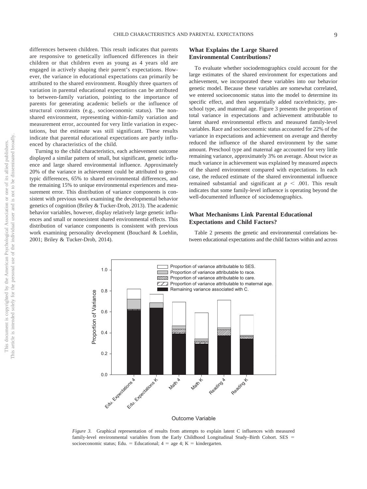differences between children. This result indicates that parents are responsive to genetically influenced differences in their children or that children even as young as 4 years old are engaged in actively shaping their parent's expectations. However, the variance in educational expectations can primarily be attributed to the shared environment. Roughly three quarters of variation in parental educational expectations can be attributed to between-family variation, pointing to the importance of parents for generating academic beliefs or the influence of structural constraints (e.g., socioeconomic status). The nonshared environment, representing within-family variation and measurement error, accounted for very little variation in expectations, but the estimate was still significant. These results indicate that parental educational expectations are partly influenced by characteristics of the child.

Turning to the child characteristics, each achievement outcome displayed a similar pattern of small, but significant, genetic influence and large shared environmental influence. Approximately 20% of the variance in achievement could be attributed to genotypic differences, 65% to shared environmental differences, and the remaining 15% to unique environmental experiences and measurement error. This distribution of variance components is consistent with previous work examining the developmental behavior genetics of cognition (Briley & Tucker-Drob, 2013). The academic behavior variables, however, display relatively large genetic influences and small or nonexistent shared environmental effects. This distribution of variance components is consistent with previous work examining personality development (Bouchard & Loehlin, 2001; Briley & Tucker-Drob, 2014).

## **What Explains the Large Shared Environmental Contributions?**

To evaluate whether sociodemographics could account for the large estimates of the shared environment for expectations and achievement, we incorporated these variables into our behavior genetic model. Because these variables are somewhat correlated, we entered socioeconomic status into the model to determine its specific effect, and then sequentially added race/ethnicity, preschool type, and maternal age. Figure 3 presents the proportion of total variance in expectations and achievement attributable to latent shared environmental effects and measured family-level variables. Race and socioeconomic status accounted for 22% of the variance in expectations and achievement on average and thereby reduced the influence of the shared environment by the same amount. Preschool type and maternal age accounted for very little remaining variance, approximately 3% on average. About twice as much variance in achievement was explained by measured aspects of the shared environment compared with expectations. In each case, the reduced estimate of the shared environmental influence remained substantial and significant at  $p < .001$ . This result indicates that some family-level influence is operating beyond the well-documented influence of sociodemographics.

# **What Mechanisms Link Parental Educational Expectations and Child Factors?**

Table 2 presents the genetic and environmental correlations between educational expectations and the child factors within and across



*Figure 3.* Graphical representation of results from attempts to explain latent C influences with measured family-level environmental variables from the Early Childhood Longitudinal Study–Birth Cohort. SES = socioeconomic status; Edu. = Educational;  $4 = age 4$ ; K = kindergarten.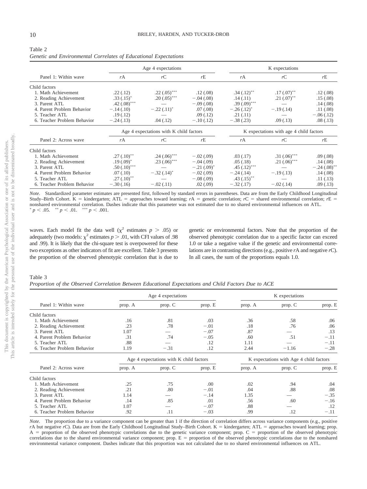|                             |                 | Age 4 expectations |                                                                                    | K expectations              |                |             |  |  |
|-----------------------------|-----------------|--------------------|------------------------------------------------------------------------------------|-----------------------------|----------------|-------------|--|--|
| Panel 1: Within wave        | rA              | rC                 | rE                                                                                 | rA                          | rC             | rE          |  |  |
| Child factors               |                 |                    |                                                                                    |                             |                |             |  |  |
| 1. Math Achievement         | .22(.12)        | $.22(.05)$ ***     | .12(.08)                                                                           | $.34(.12)$ <sup>**</sup>    | $.17(0.07)$ ** | .12(.08)    |  |  |
| 2. Reading Achievement      | $.33(.15)^*$    | $.20(.05)$ ***     | $-.04(.08)$                                                                        | .14(.11)                    | $.21(.07)$ **  | .15(.08)    |  |  |
| 3. Parent ATL               | .42 $(.08)$ *** |                    | $-.09(.08)$                                                                        | $.39(.09)$ ***              |                | .14(0.08)   |  |  |
| 4. Parent Problem Behavior  | $-.14(.10)$     | $-.22(.11)*$       | .07(.08)                                                                           | $-.26(.12)^*$               | $-.19(.14)$    | .11(.08)    |  |  |
| 5. Teacher ATL              | .19(.12)        |                    | .09(.12)                                                                           | .21(.11)                    |                | $-.06(.12)$ |  |  |
| 6. Teacher Problem Behavior | $-.24(.13)$     | .04(.12)           | $-.10(.12)$                                                                        | $-.38(.23)$                 | .09(0.13)      | .08(0.13)   |  |  |
|                             |                 |                    | Age 4 expectations with K child factors<br>K expectations with age 4 child factors |                             |                |             |  |  |
| Panel 2: Across wave        | rA              | rC                 | rE                                                                                 | rA                          | rC             | rE          |  |  |
| Child factors               |                 |                    |                                                                                    |                             |                |             |  |  |
| 1. Math Achievement         | $.27(.10)^{**}$ | $.24(.06)$ ***     | $-.02(.09)$                                                                        | .03(.17)                    | $.31(.06)$ *** | .09(.08)    |  |  |
| 2. Reading Achievement      | $.19(.09)^*$    | $.23(.06)$ ***     | $-.04(.09)$                                                                        | .05(0.18)                   | $.21(.06)$ *** | .14(.08)    |  |  |
| 3. Parent ATL               | $.50(.10)$ ***  |                    | $-.21(.09)^*$                                                                      | $.45(.12)$ ***              |                | $-.24(.08)$ |  |  |
| 4. Parent Problem Behavior  | .07(0.10)       | $-.32(.14)^*$      | $-.02(.09)$                                                                        | $-.24(.14)$                 | $-.19(.13)$    | .14(.08)    |  |  |
| 5. Teacher ATL              | $.27(.10)^{**}$ |                    | $-.08(.09)$                                                                        | $.43$ $(.15)$ <sup>**</sup> |                | .11(.13)    |  |  |
| 6. Teacher Problem Behavior | $-.30(.16)$     | $-.02(.11)$        | .02(.09)                                                                           | $-.32(.17)$                 | $-.02(.14)$    | .09(0.13)   |  |  |

| Table 2 |                                                                  |  |  |
|---------|------------------------------------------------------------------|--|--|
|         | Genetic and Environmental Correlates of Educational Expectations |  |  |

*Note.* Standardized parameter estimates are presented first, followed by standard errors in parentheses. Data are from the Early Childhood Longitudinal Study–Birth Cohort.  $K =$  kindergarten; ATL = approaches toward learning; *r*A = genetic correlation; *rC* = shared environmental correlation; *rE* = nonshared environmental correlation. Dashes indicate that this parameter was not estimated due to no shared environmental influences on ATL.  $p < .05.$  \*\*  $p < .01.$  \*\*\*  $p < .001.$ 

waves. Each model fit the data well  $(\chi^2$  estimates  $p > .05$ ) or adequately (two models:  $\chi^2$  estimates  $p > .01$ , with CFI values of .98 and .99). It is likely that the chi-square test is overpowered for these two exceptions as other indicators of fit are excellent. Table 3 presents the proportion of the observed phenotypic correlation that is due to

genetic or environmental factors. Note that the proportion of the observed phenotypic correlation due to a specific factor can exceed 1.0 or take a negative value if the genetic and environmental correlations are in contrasting directions (e.g., positive *r*A and negative *r*C). In all cases, the sum of the proportions equals 1.0.

#### Table 3

|  |  |  | Proportion of the Observed Correlation Between Educational Expectations and Child Factors Due to ACE |  |  |  |
|--|--|--|------------------------------------------------------------------------------------------------------|--|--|--|
|  |  |  |                                                                                                      |  |  |  |

|                             |         | Age 4 expectations                      |         | K expectations                          |         |         |  |  |
|-----------------------------|---------|-----------------------------------------|---------|-----------------------------------------|---------|---------|--|--|
| Panel 1: Within wave        | prop. A | prop. C                                 | prop. E | prop. A                                 | prop. C | prop. E |  |  |
| Child factors               |         |                                         |         |                                         |         |         |  |  |
| 1. Math Achievement         | .16     | .81                                     | .03     | .36                                     | .58     | .06     |  |  |
| 2. Reading Achievement      | .23     | .78                                     | $-.01$  | .18                                     | .76     | .06     |  |  |
| 3. Parent ATL               | 1.07    |                                         | $-.07$  | .87                                     |         | .13     |  |  |
| 4. Parent Problem Behavior  | .31     | .74                                     | $-.05$  | .60                                     | .51     | $-.11$  |  |  |
| 5. Teacher ATL              | .88     |                                         | .12     | 1.11                                    |         | $-.11$  |  |  |
| 6. Teacher Problem Behavior | 1.19    | $-.31$                                  | .12     | 2.44                                    | $-1.16$ | $-.28$  |  |  |
|                             |         | Age 4 expectations with K child factors |         | K expectations with Age 4 child factors |         |         |  |  |
| Panel 2: Across wave        | prop. A | prop. C                                 | prop. E | prop. A                                 | prop. C | prop. E |  |  |
| Child factors               |         |                                         |         |                                         |         |         |  |  |
| 1. Math Achievement         | .25     | .75                                     | .00     | .02                                     | .94     | .04     |  |  |
| 2. Reading Achievement      | .21     | .80                                     | $-.01$  | .04                                     | .88     | .08     |  |  |
| 3. Parent ATL               | 1.14    |                                         | $-.14$  | 1.35                                    |         | $-.35$  |  |  |
| 4. Parent Problem Behavior  | .14     | .85                                     | .01     | .56                                     | .60     | $-.16$  |  |  |
| 5. Teacher ATL              | 1.07    |                                         | $-.07$  | .88                                     |         | .12     |  |  |
| 6. Teacher Problem Behavior | .92     | .11                                     | $-.03$  | .99                                     | .12     | $-.11$  |  |  |

*Note.* The proportion due to a variance component can be greater than 1 if the direction of correlation differs across variance components (e.g., positive *r*A but negative *r*C). Data are from the Early Childhood Longitudinal Study–Birth Cohort. K = kindergarten; ATL = approaches toward learning; prop.  $A =$  proportion of the observed phenotypic correlations due to the genetic variance component; prop.  $C =$  proportion of the observed phenotypic correlations due to the shared environmental variance component; prop.  $E =$  proportion of the observed phenotypic correlations due to the nonshared environmental variance component. Dashes indicate that this proportion was not calculated due to no shared environmental influences on ATL.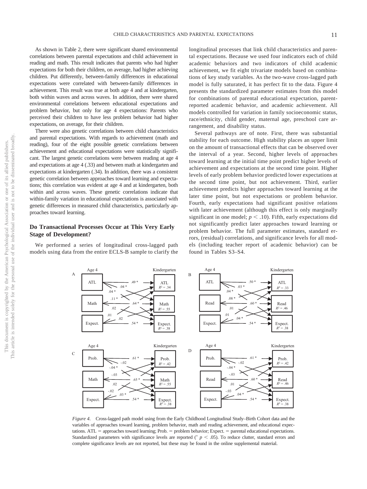As shown in Table 2, there were significant shared environmental correlations between parental expectations and child achievement in reading and math. This result indicates that parents who had higher expectations for both their children, on average, had higher achieving children. Put differently, between-family differences in educational expectations were correlated with between-family differences in achievement. This result was true at both age 4 and at kindergarten, both within waves and across waves. In addition, there were shared environmental correlations between educational expectations and problem behavior, but only for age 4 expectations: Parents who perceived their children to have less problem behavior had higher expectations, on average, for their children.

There were also genetic correlations between child characteristics and parental expectations. With regards to achievement (math and reading), four of the eight possible genetic correlations between achievement and educational expectations were statistically significant. The largest genetic correlations were between reading at age 4 and expectations at age 4 (.33) and between math at kindergarten and expectations at kindergarten (.34). In addition, there was a consistent genetic correlation between approaches toward learning and expectations; this correlation was evident at age 4 and at kindergarten, both within and across waves. These genetic correlations indicate that within-family variation in educational expectations is associated with genetic differences in measured child characteristics, particularly approaches toward learning.

# **Do Transactional Processes Occur at This Very Early Stage of Development?**

We performed a series of longitudinal cross-lagged path models using data from the entire ECLS-B sample to clarify the

longitudinal processes that link child characteristics and parental expectations. Because we used four indicators each of child academic behaviors and two indicators of child academic achievement, we fit eight trivariate models based on combinations of key study variables. As the two-wave cross-lagged path model is fully saturated, it has perfect fit to the data. Figure 4 presents the standardized parameter estimates from this model for combinations of parental educational expectation, parentreported academic behavior, and academic achievement. All models controlled for variation in family socioeconomic status, race/ethnicity, child gender, maternal age, preschool care arrangement, and disability status.

Several pathways are of note. First, there was substantial stability for each outcome. High stability places an upper limit on the amount of transactional effects that can be observed over the interval of a year. Second, higher levels of approaches toward learning at the initial time point predict higher levels of achievement and expectations at the second time point. Higher levels of early problem behavior predicted lower expectations at the second time point, but not achievement. Third, earlier achievement predicts higher approaches toward learning at the later time point, but not expectations or problem behavior. Fourth, early expectations had significant positive relations with later achievement (although this effect is only marginally significant in one model;  $p < .10$ ). Fifth, early expectations did not significantly predict later approaches toward learning or problem behavior. The full parameter estimates, standard errors, (residual) correlations, and significance levels for all models (including teacher report of academic behavior) can be found in Tables S3–S4.



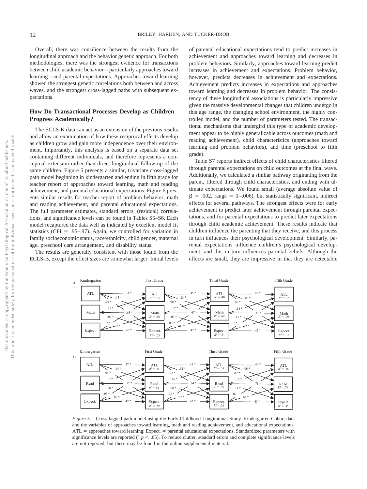Overall, there was consilience between the results from the longitudinal approach and the behavior genetic approach. For both methodologies, there was the strongest evidence for transactions between child academic behavior—particularly approaches toward learning—and parental expectations. Approaches toward learning showed the strongest genetic correlations both between and across waves, and the strongest cross-lagged paths with subsequent expectations.

# **How Do Transactional Processes Develop as Children Progress Academically?**

The ECLS-K data can act as an extension of the previous results and allow an examination of how these reciprocal effects develop as children grow and gain more independence over their environment. Importantly, this analysis is based on a separate data set containing different individuals, and therefore represents a conceptual extension rather than direct longitudinal follow-up of the same children. Figure 5 presents a similar, trivariate cross-lagged path model beginning in kindergarten and ending in fifth grade for teacher report of approaches toward learning, math and reading achievement, and parental educational expectations. Figure 6 presents similar results for teacher report of problem behavior, math and reading achievement, and parental educational expectations. The full parameter estimates, standard errors, (residual) correlations, and significance levels can be found in Tables S5–S6. Each model recaptured the data well as indicated by excellent model fit statistics (CFI = .95–.97). Again, we controlled for variation in family socioeconomic status, race/ethnicity, child gender, maternal age, preschool care arrangement, and disability status.

The results are generally consistent with those found from the ECLS-B, except the effect sizes are somewhat larger. Initial levels of parental educational expectations tend to predict increases in achievement and approaches toward learning and decreases in problem behaviors. Similarly, approaches toward learning predict increases in achievement and expectations. Problem behavior, however, predicts decreases in achievement and expectations. Achievement predicts increases in expectations and approaches toward learning and decreases in problem behavior. The consistency of these longitudinal associations is particularly impressive given the massive developmental changes that children undergo in this age range, the changing school environment, the highly controlled model, and the number of parameters tested. The transactional mechanisms that undergird this type of academic development appear to be highly generalizable across outcomes (math and reading achievement), child characteristics (approaches toward learning and problem behaviors), and time (preschool to fifth grade).

Table S7 reports indirect effects of child characteristics filtered through parental expectations on child outcomes at the final wave. Additionally, we calculated a similar pathway originating from the parent, filtered through child characteristics, and ending with ultimate expectations. We found small (average absolute value of  $\beta = .002$ , range = 0–.006), but statistically significant, indirect effects for several pathways. The strongest effects were for early achievement to predict later achievement through parental expectations, and for parental expectations to predict later expectations through child academic achievement. These results indicate that children influence the parenting that they receive, and this process in turn influences their psychological development. Similarly, parental expectations influence children's psychological development, and this in turn influences parental beliefs. Although the effects are small, they are impressive in that they are detectable

*Figure 5.* Cross-lagged path model using the Early Childhood Longitudinal Study–Kindergarten Cohort data and the variables of approaches toward learning, math and reading achievement, and educational expectations. ATL = approaches toward learning; Expect. = parental educational expectations. Standardized parameters with significance levels are reported ( $p < .05$ ). To reduce clutter, standard errors and complete significance levels are not reported, but these may be found in the online supplemental material.

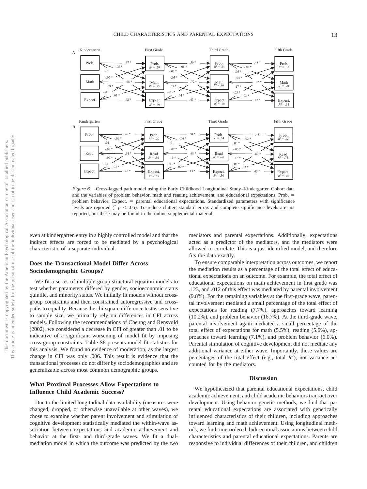

*Figure 6.* Cross-lagged path model using the Early Childhood Longitudinal Study–Kindergarten Cohort data and the variables of problem behavior, math and reading achievement, and educational expectations. Prob. problem behavior; Expect. parental educational expectations. Standardized parameters with significance levels are reported ( $p < .05$ ). To reduce clutter, standard errors and complete significance levels are not reported, but these may be found in the online supplemental material.

even at kindergarten entry in a highly controlled model and that the indirect effects are forced to be mediated by a psychological characteristic of a separate individual.

# **Does the Transactional Model Differ Across Sociodemographic Groups?**

We fit a series of multiple-group structural equation models to test whether parameters differed by gender, socioeconomic status quintile, and minority status. We initially fit models without crossgroup constraints and then constrained autoregressive and crosspaths to equality. Because the chi-square difference test is sensitive to sample size, we primarily rely on differences in CFI across models. Following the recommendations of Cheung and Rensvold (2002), we considered a decrease in CFI of greater than .01 to be indicative of a significant worsening of model fit by imposing cross-group constraints. Table S8 presents model fit statistics for this analysis. We found no evidence of moderation, as the largest change in CFI was only .006. This result is evidence that the transactional processes do not differ by sociodemographics and are generalizable across most common demographic groups.

# **What Proximal Processes Allow Expectations to Influence Child Academic Success?**

Due to the limited longitudinal data availability (measures were changed, dropped, or otherwise unavailable at other waves), we chose to examine whether parent involvement and stimulation of cognitive development statistically mediated the within-wave association between expectations and academic achievement and behavior at the first- and third-grade waves. We fit a dualmediation model in which the outcome was predicted by the two

mediators and parental expectations. Additionally, expectations acted as a predictor of the mediators, and the mediators were allowed to correlate. This is a just identified model, and therefore fits the data exactly.

To ensure comparable interpretation across outcomes, we report the mediation results as a percentage of the total effect of educational expectations on an outcome. For example, the total effect of educational expectations on math achievement in first grade was .123, and .012 of this effect was mediated by parental involvement (9.8%). For the remaining variables at the first-grade wave, parental involvement mediated a small percentage of the total effect of expectations for reading (7.7%), approaches toward learning (10.2%), and problem behavior (16.7%). At the third-grade wave, parental involvement again mediated a small percentage of the total effect of expectations for math  $(5.5\%)$ , reading  $(5.6\%)$ , approaches toward learning (7.1%), and problem behavior (6.0%). Parental stimulation of cognitive development did not mediate any additional variance at either wave. Importantly, these values are percentages of the total effect (e.g., total  $R^2$ ), not variance accounted for by the mediators.

#### **Discussion**

We hypothesized that parental educational expectations, child academic achievement, and child academic behaviors transact over development. Using behavior genetic methods, we find that parental educational expectations are associated with genetically influenced characteristics of their children, including approaches toward learning and math achievement. Using longitudinal methods, we find time-ordered, bidirectional associations between child characteristics and parental educational expectations. Parents are responsive to individual differences of their children, and children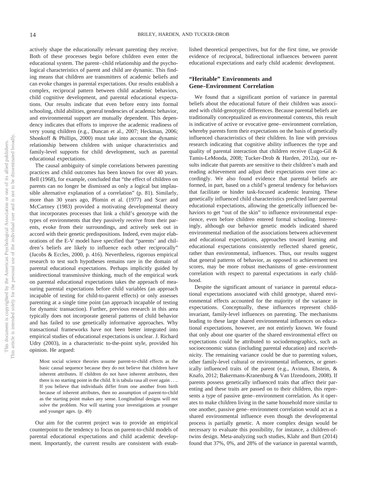actively shape the educationally relevant parenting they receive. Both of these processes begin before children even enter the educational system. The parent– child relationship and the psychological characteristics of parent and child are dynamic. This finding means that children are transmitters of academic beliefs and can evoke changes in parental expectations. Our results establish a complex, reciprocal pattern between child academic behaviors, child cognitive development, and parental educational expectations. Our results indicate that even before entry into formal schooling, child abilities, general tendencies of academic behavior, and environmental support are mutually dependent. This dependency indicates that efforts to improve the academic readiness of very young children (e.g., Duncan et al., 2007; Heckman, 2006; Shonkoff & Phillips, 2000) must take into account the dynamic relationship between children with unique characteristics and family-level supports for child development, such as parental educational expectations.

The causal ambiguity of simple correlations between parenting practices and child outcomes has been known for over 40 years. Bell (1968), for example, concluded that "the effect of children on parents can no longer be dismissed as only a logical but implausible alternative explanation of a correlation" (p. 81). Similarly, more than 30 years ago, Plomin et al. (1977) and Scarr and McCartney (1983) provided a motivating developmental theory that incorporates processes that link a child's genotype with the types of environments that they passively receive from their parents, evoke from their surroundings, and actively seek out in accord with their genetic predispositions. Indeed, even major elaborations of the E-V model have specified that "parents' and children's beliefs are likely to influence each other reciprocally" (Jacobs & Eccles, 2000, p. 416). Nevertheless, rigorous empirical research to test such hypotheses remains rare in the domain of parental educational expectations. Perhaps implicitly guided by unidirectional transmissive thinking, much of the empirical work on parental educational expectations takes the approach of measuring parental expectations before child variables (an approach incapable of testing for child-to-parent effects) or only assesses parenting at a single time point (an approach incapable of testing for dynamic transaction). Further, previous research in this area typically does not incorporate general patterns of child behavior and has failed to use genetically informative approaches. Why transactional frameworks have not been better integrated into empirical studies of educational expectations is unclear. J. Richard Udry (2003), in a characteristic to-the-point style, provided his opinion. He argued:

Most social science theories assume parent-to-child effects as the basic causal sequence because they do not believe that children have inherent attributes. If children do not have inherent attributes, then there is no starting point in the child. It is tabula rasa all over again . . .. If you believe that individuals differ from one another from birth because of inherent attributes, then no assumption of parent-to-child as the starting point makes any sense. Longitudinal designs will not solve the problem. Nor will starting your investigations at younger and younger ages. (p. 49)

Our aim for the current project was to provide an empirical counterpoint to the tendency to focus on parent-to-child models of parental educational expectations and child academic development. Importantly, the current results are consistent with established theoretical perspectives, but for the first time, we provide evidence of reciprocal, bidirectional influences between parent educational expectations and early child academic development.

# **"Heritable" Environments and Gene–Environment Correlation**

We found that a significant portion of variance in parental beliefs about the educational future of their children was associated with child-genotypic differences. Because parental beliefs are traditionally conceptualized as environmental contexts, this result is indicative of active or evocative gene– environment correlation, whereby parents form their expectations on the basis of genetically influenced characteristics of their children. In line with previous research indicating that cognitive ability influences the type and quality of parental interaction that children receive (Lugo-Gil & Tamis-LeMonda, 2008; Tucker-Drob & Harden, 2012a), our results indicate that parents are sensitive to their children's math and reading achievement and adjust their expectations over time accordingly. We also found evidence that parental beliefs are formed, in part, based on a child's general tendency for behaviors that facilitate or hinder task-focused academic learning. These genetically influenced child characteristics predicted later parental educational expectations, allowing the genetically influenced behaviors to get "out of the skin" to influence environmental experience, even before children entered formal schooling. Interestingly, although our behavior genetic models indicated shared environmental mediation of the associations between achievement and educational expectations, approaches toward learning and educational expectations consistently reflected shared genetic, rather than environmental, influences. Thus, our results suggest that general patterns of behavior, as opposed to achievement test scores, may be more robust mechanisms of gene– environment correlation with respect to parental expectations in early childhood.

Despite the significant amount of variance in parental educational expectations associated with child genotype, shared environmental effects accounted for the majority of the variance in expectations. Conceptually, these influences represent childinvariant, family-level influences on parenting. The mechanisms leading to these large shared environmental influences on educational expectations, however, are not entirely known. We found that only about one quarter of the shared environmental effect on expectations could be attributed to sociodemographics, such as socioeconomic status (including parental education) and race/ethnicity. The remaining variance could be due to parenting values, other family-level cultural or environmental influences, or genetically influenced traits of the parent (e.g., Avinun, Ebstein, & Knafo, 2012; Bakermans-Kranenburg & Van IJzendoorn, 2008). If parents possess genetically influenced traits that affect their parenting and these traits are passed on to their children, this represents a type of passive gene– environment correlation. As it operates to make children living in the same household more similar to one another, passive gene– environment correlation would act as a shared environmental influence even though the developmental process is partially genetic. A more complex design would be necessary to evaluate this possibility, for instance, a children-oftwins design. Meta-analyzing such studies, Klahr and Burt (2014) found that 37%, 0%, and 28% of the variance in parental warmth,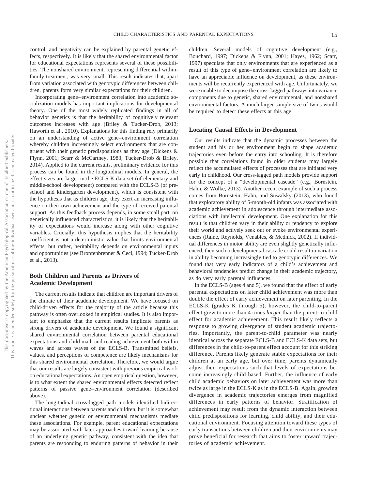control, and negativity can be explained by parental genetic effects, respectively. It is likely that the shared environmental factor for educational expectations represents several of these possibilities. The nonshared environment, representing differential withinfamily treatment, was very small. This result indicates that, apart from variation associated with genotypic differences between children, parents form very similar expectations for their children.

Incorporating gene– environment correlation into academic socialization models has important implications for developmental theory. One of the most widely replicated findings in all of behavior genetics is that the heritability of cognitively relevant outcomes increases with age (Briley & Tucker-Drob, 2013; Haworth et al., 2010). Explanations for this finding rely primarily on an understanding of active gene– environment correlation whereby children increasingly select environments that are congruent with their genetic predispositions as they age (Dickens & Flynn, 2001; Scarr & McCartney, 1983; Tucker-Drob & Briley, 2014). Applied to the current results, preliminary evidence for this process can be found in the longitudinal models. In general, the effect sizes are larger in the ECLS-K data set (of elementary and middle-school development) compared with the ECLS-B (of preschool and kindergarten development), which is consistent with the hypothesis that as children age, they exert an increasing influence on their own achievement and the type of received parental support. As this feedback process depends, in some small part, on genetically influenced characteristics, it is likely that the heritability of expectations would increase along with other cognitive variables. Crucially, this hypothesis implies that the heritability coefficient is not a deterministic value that limits environmental effects, but rather, heritability depends on environmental inputs and opportunities (see Bronfenbrenner & Ceci, 1994; Tucker-Drob et al., 2013).

# **Both Children and Parents as Drivers of Academic Development**

The current results indicate that children are important drivers of the climate of their academic development. We have focused on child-driven effects for the majority of the article because this pathway is often overlooked in empirical studies. It is also important to emphasize that the current results implicate parents as strong drivers of academic development. We found a significant shared environmental correlation between parental educational expectations and child math and reading achievement both within waves and across waves of the ECLS-B. Transmitted beliefs, values, and perceptions of competence are likely mechanisms for this shared environmental correlation. Therefore, we would argue that our results are largely consistent with previous empirical work on educational expectations. An open empirical question, however, is to what extent the shared environmental effects detected reflect patterns of passive gene– environment correlation (described above).

The longitudinal cross-lagged path models identified bidirectional interactions between parents and children, but it is somewhat unclear whether genetic or environmental mechanisms mediate these associations. For example, parent educational expectations may be associated with later approaches toward learning because of an underlying genetic pathway, consistent with the idea that parents are responding to enduring patterns of behavior in their

children. Several models of cognitive development (e.g., Bouchard, 1997; Dickens & Flynn, 2001; Hayes, 1962; Scarr, 1997) speculate that only environments that are experienced as a result of this type of gene– environment correlation are likely to have an appreciable influence on development, as these environments will be recurrently experienced with age. Unfortunately, we were unable to decompose the cross-lagged pathways into variance components due to genetic, shared environmental, and nonshared environmental factors. A much larger sample size of twins would be required to detect these effects at this age.

#### **Locating Causal Effects in Development**

Our results indicate that the dynamic processes between the student and his or her environment begin to shape academic trajectories even before the entry into schooling. It is therefore possible that correlations found in older students may largely reflect the accumulated effects of processes that are initiated very early in childhood. Our cross-lagged path models provide support for the concept of a "developmental cascade" (e.g., Bornstein, Hahn, & Wolke, 2013). Another recent example of such a process comes from Bornstein, Hahn, and Suwalsky (2013), who found that exploratory ability of 5-month-old infants was associated with academic achievement in adolescence through intermediate associations with intellectual development. One explanation for this result is that children vary in their ability or tendency to explore their world and actively seek out or evoke environmental experiences (Raine, Reynolds, Venables, & Mednick, 2002). If individual differences in motor ability are even slightly genetically influenced, then such a developmental cascade could result in variation in ability becoming increasingly tied to genotypic differences. We found that very early indicators of a child's achievement and behavioral tendencies predict change in their academic trajectory, as do very early parental influences.

In the ECLS-B (ages 4 and 5), we found that the effect of early parental expectations on later child achievement was more than double the effect of early achievement on later parenting. In the ECLS-K (grades K through 5), however, the child-to-parent effect grew to more than 4 times *larger* than the parent-to-child effect for academic achievement. This result likely reflects a response to growing divergence of student academic trajectories. Importantly, the parent-to-child parameter was nearly identical across the separate ECLS-B and ECLS-K data sets, but differences in the child-to-parent effect account for this striking difference. Parents likely generate stable expectations for their children at an early age, but over time, parents dynamically adjust their expectations such that levels of expectations become increasingly child based. Further, the influence of early child academic behaviors on later achievement was more than twice as large in the ECLS-K as in the ECLS-B. Again, growing divergence in academic trajectories emerges from magnified differences in early patterns of behavior. Stratification of achievement may result from the dynamic interaction between child predispositions for learning, child ability, and their educational environment. Focusing attention toward these types of early transactions between children and their environments may prove beneficial for research that aims to foster upward trajectories of academic achievement.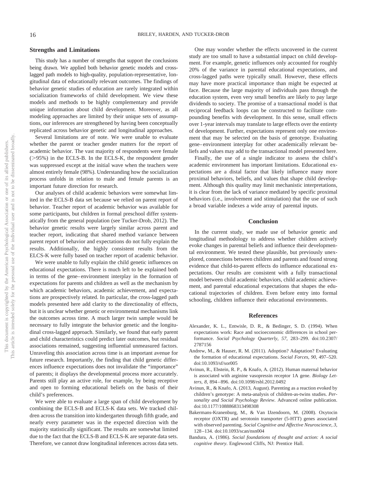#### **Strengths and Limitations**

This study has a number of strengths that support the conclusions being drawn. We applied both behavior genetic models and crosslagged path models to high-quality, population-representative, longitudinal data of educationally relevant outcomes. The findings of behavior genetic studies of education are rarely integrated within socialization frameworks of child development. We view these models and methods to be highly complementary and provide unique information about child development. Moreover, as all modeling approaches are limited by their unique sets of assumptions, our inferences are strengthened by having been conceptually replicated across behavior genetic and longitudinal approaches.

Several limitations are of note. We were unable to evaluate whether the parent or teacher gender matters for the report of academic behavior. The vast majority of respondents were female  $(>=)95\%$ ) in the ECLS-B. In the ECLS-K, the respondent gender was suppressed except at the initial wave when the teachers were almost entirely female (98%). Understanding how the socialization process unfolds in relation to male and female parents is an important future direction for research.

Our analyses of child academic behaviors were somewhat limited in the ECLS-B data set because we relied on parent report of behavior. Teacher report of academic behavior was available for some participants, but children in formal preschool differ systematically from the general population (see Tucker-Drob, 2012). The behavior genetic results were largely similar across parent and teacher report, indicating that shared method variance between parent report of behavior and expectations do not fully explain the results. Additionally, the highly consistent results from the ELCS-K were fully based on teacher report of academic behavior.

We were unable to fully explain the child genetic influences on educational expectations. There is much left to be explained both in terms of the gene– environment interplay in the formation of expectations for parents and children as well as the mechanism by which academic behaviors, academic achievement, and expectations are prospectively related. In particular, the cross-lagged path models presented here add clarity to the directionality of effects, but it is unclear whether genetic or environmental mechanisms link the outcomes across time. A much larger twin sample would be necessary to fully integrate the behavior genetic and the longitudinal cross-lagged approach. Similarly, we found that early parent and child characteristics could predict later outcomes, but residual associations remained, suggesting influential unmeasured factors. Unraveling this association across time is an important avenue for future research. Importantly, the finding that child genetic differences influence expectations does not invalidate the "importance" of parents; it displays the developmental process more accurately. Parents still play an active role, for example, by being receptive and open to forming educational beliefs on the basis of their child's preferences.

We were able to evaluate a large span of child development by combining the ECLS-B and ECLS-K data sets. We tracked children across the transition into kindergarten through fifth grade, and nearly every parameter was in the expected direction with the majority statistically significant. The results are somewhat limited due to the fact that the ECLS-B and ECLS-K are separate data sets. Therefore, we cannot draw longitudinal inferences across data sets.

One may wonder whether the effects uncovered in the current study are too small to have a substantial impact on child development. For example, genetic influences only accounted for roughly 20% of the variance in parental educational expectations, and cross-lagged paths were typically small. However, these effects may have more practical importance than might be expected at face. Because the large majority of individuals pass through the education system, even very small benefits are likely to pay large dividends to society. The promise of a transactional model is that reciprocal feedback loops can be constructed to facilitate compounding benefits with development. In this sense, small effects over 1-year intervals may translate to large effects over the entirety of development. Further, expectations represent only one environment that may be selected on the basis of genotype. Evaluating gene– environment interplay for other academically relevant beliefs and values may add to the transactional model presented here.

Finally, the use of a single indicator to assess the child's academic environment has important limitations. Educational expectations are a distal factor that likely influence many more proximal behaviors, beliefs, and values that shape child development. Although this quality may limit mechanistic interpretations, it is clear from the lack of variance mediated by specific proximal behaviors (i.e., involvement and stimulation) that the use of such a broad variable indexes a wide array of parental inputs.

#### **Conclusion**

In the current study, we made use of behavior genetic and longitudinal methodology to address whether children actively evoke changes in parental beliefs and influence their developmental environment. We tested these plausible, but previously unexplored, connections between children and parents and found strong evidence that child-to-parent effects do influence educational expectations. Our results are consistent with a fully transactional model between child academic behaviors, child academic achievement, and parental educational expectations that shapes the educational trajectories of children. Even before entry into formal schooling, children influence their educational environments.

#### **References**

- Alexander, K. L., Entwisle, D. R., & Bedinger, S. D. (1994). When expectations work: Race and socioeconomic differences in school performance. *Social Psychology Quarterly, 57,* 283–299. doi:10.2307/ 2787156
- Andrew, M., & Hauser, R. M. (2011). Adoption? Adaptation? Evaluating the formation of educational expectations. *Social Forces, 90,* 497–520. doi:10.1093/sf/sor005
- Avinun, R., Ebstein, R. P., & Knafo, A. (2012). Human maternal behavior is associated with arginine vasopressin receptor 1A gene. *Biology Letters, 8,* 894 – 896. doi:10.1098/rsbl.2012.0492
- Avinun, R., & Knafo, A. (2013, August). Parenting as a reaction evoked by children's genotype: A meta-analysis of children-as-twins studies. *Personality and Social Psychology Review*. Advanced online publication. doi:10.1177/1088868313498308
- Bakermans-Kranenburg, M., & Van IJzendoorn, M. (2008). Oxytocin receptor (OXTR) and serotonin transporter (5-HTT) genes associated with observed parenting. *Social Cognitive and Affective Neuroscience, 3,* 128 –134. doi:10.1093/scan/nsn004
- Bandura, A. (1986). *Social foundations of thought and action: A social cognitive theory*. Englewood Cliffs, NJ: Prentice Hall.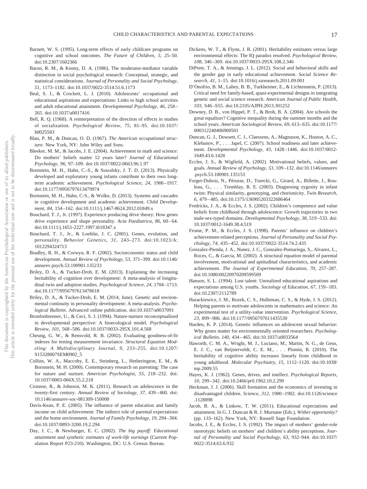- Barnett, W. S. (1995). Long-term effects of early childcare programs on cognitive and school outcomes. *The Future of Children, 5,* 25–50. doi:10.2307/1602366
- Baron, R. M., & Kenny, D. A. (1986). The moderator-mediator variable distinction in social psychological research: Conceptual, strategic, and statistical considerations. *Journal of Personality and Social Psychology, 51,* 1173–1182. doi:10.1037/0022-3514.51.6.1173
- Beal, S. J., & Crockett, L. J. (2010). Adolescents' occupational and educational aspirations and expectations: Links to high school activities and adult educational attainment. *Developmental Psychology, 46,* 258 – 265. doi:10.1037/a0017416
- Bell, R. Q. (1968). A reinterpretation of the direction of effects in studies of socialization. *Psychological Review, 75,* 81–95. doi:10.1037/ h0025583
- Blau, P. M., & Duncan, O. D. (1967). *The American occupational structure*. New York, NY: John Wiley and Sons.
- Bleeker, M. M., & Jacobs, J. E. (2004). Achievement in math and science: Do mothers' beliefs matter 12 years later? *Journal of Educational Psychology, 96,* 97–109. doi:10.1037/0022-0663.96.1.97
- Bornstein, M. H., Hahn, C.-S., & Suwalsky, J. T. D. (2013). Physically developed and exploratory young infants contribute to their own longterm academic achievement. *Psychological Science, 24,* 1906 –1917. doi:10.1177/0956797613479974
- Bornstein, M. H., Hahn, C-S., & Wolke, D. (2013). Systems and cascades in cognitive development and academic achievement. *Child Development, 84,* 154 –162. doi:10.1111/j.1467-8624.2012.01849.x
- Bouchard, T. J., Jr. (1997). Experience producing drive theory: How genes drive experience and shape personality. Acta Paediatrica, 86, 60-64. doi:10.1111/j.1651-2227.1997.tb18347.x
- Bouchard, T. J., Jr., & Loehlin, J. C. (2001). Genes, evolution, and personality. *Behavior Genetics, 31,* 243–273. doi:10.1023/A: 1012294324713
- Bradley, R. H., & Corwyn, R. F. (2002). Socioeconomic status and child development. *Annual Review of Psychology, 53,* 371–399. doi:10.1146/ annurev.psych.53.100901.135233
- Briley, D. A., & Tucker-Drob, E. M. (2013). Explaining the increasing heritability of cognition over development: A meta-analysis of longitudinal twin and adoption studies. *Psychological Science, 24,* 1704 –1713. doi:10.1177/0956797613478618
- Briley, D. A., & Tucker-Drob, E. M. (2014, June). Genetic and environmental continuity in personality development: A meta-analysis. *Psychological Bulletin*. Advanced online publication. doi:10.1037/a0037091
- Bronfenbrenner, U., & Ceci, S. J. (1994). Nature-nurture reconceptualized in developmental perspective: A bioecological model. *Psychological Review, 101,* 568 –586. doi:10.1037/0033-295X.101.4.568
- Cheung, G. W., & Rensvold, R. B. (2002). Evaluating goodness-of-fit indexes for testing measurement invariance. *Structural Equation Modeling: A Multidisciplinary Journal, 9,* 233–255. doi:10.1207/ S15328007SEM0902\_5
- Collins, W. A., Maccoby, E. E., Steinberg, L., Hetherington, E. M., & Bornstein, M. H. (2000). Contemporary research on parenting: The case for nature and nurture. *American Psychologist, 55,* 218 –232. doi: 10.1037/0003-066X.55.2.218
- Crosnoe, R., & Johnson, M. K. (2011). Research on adolescence in the twenty-first century. *Annual Review of Sociology, 37, 439-460*. doi: 10.1146/annurev-soc-081309-150008
- Davis-Kean, P. E. (2005). The influence of parent education and family income on child achievement: The indirect role of parental expectations and the home environment. *Journal of Family Psychology, 19,* 294 –304. doi:10.1037/0893-3200.19.2.294
- Day, J. C., & Newburger, E. C. (2002). *The big payoff: Educational attainment and synthetic estimates of work-life earnings* (Current Population Report P23-210). Washington, DC: U.S. Census Bureau.
- Dickens, W. T., & Flynn, J. R. (2001). Heritability estimates versus large environmental effects: The IQ paradox resolved. *Psychological Review, 108,* 346 –369. doi:10.1037/0033-295X.108.2.346
- DiPrete, T. A., & Jennings, J. L. (2012). Social and behavioral skills and the gender gap in early educational achievement. *Social Science Research, 41,* 1–15. doi:10.1016/j.ssresearch.2011.09.001
- D'Onofrio, B. M., Lahey, B. B., Turkheimer, E., & Lichtenstein, P. (2013). Critical need for family-based, quasi-experimental designs in integrating genetic and social science research. *American Journal of Public Health, 103,* S46 –S55. doi:10.2105/AJPH.2013.301252
- Downey, D. B., von Hippel, P. T., & Broh, B. A. (2004). Are schools the great equalizer? Cognitive inequality during the summer months and the school years. *American Sociological Review, 69,* 613– 635. doi:10.1177/ 000312240406900501
- Duncan, G. J., Dowsett, C. J., Claessens, A., Magnuson, K., Huston, A. C., Klebanov, P.,... Japel, C. (2007). School readiness and later achievement. *Developmental Psychology, 43,* 1428 –1446. doi:10.1037/0012- 1649.43.6.1428
- Eccles, J. S., & Wigfield, A. (2002). Motivational beliefs, values, and goals. *Annual Review of Psychology, 53,* 109 –132. doi:10.1146/annurev .psych.53.100901.135153
- Forget-Dubois, N., Pérusse, D., Turecki, G., Girard, A., Billette, J., Rouleau, G., . . . Tremblay, R. E. (2003). Diagnosing zygosity in infant twins: Physical similarity, genotyping, and chorionicity. *Twin Research, 6,* 479 – 485. doi:10.1375/136905203322686464
- Fredricks, J. A., & Eccles, J. S. (2002). Children's competence and value beliefs from childhood through adolescence: Growth trajectories in two male-sex-typed domains. *Developmental Psychology, 38,* 519 –533. doi: 10.1037/0012-1649.38.4.519
- Frome, P. M., & Eccles, J. S. (1998). Parents' influence on children's achievement-related perceptions. *Journal of Personality and Social Psychology, 74,* 435– 452. doi:10.1037/0022-3514.74.2.435
- Gonzalez-Pienda, J. A., Nunez, J. C., Gonzalez-Pumariega, S., Alvarez, L., Roces, C., & Garcia, M. (2002). A structural equation model of parental involvement, motivational and aptitudinal characteristics, and academic achievement. *The Journal of Experimental Education, 70,* 257–287. doi:10.1080/00220970209599509
- Hanson, S. L. (1994). Lost talent: Unrealized educational aspirations and expectations among U.S. youths. *Sociology of Education, 67,* 159 –183. doi:10.2307/2112789
- Harackiewicz, J. M., Rozek, C. S., Hulleman, C. S., & Hyde, J. S. (2012). Helping parents to motivate adolescents in mathematics and science: An experimental test of a utility-value intervention. *Psychological Science, 23,* 899 –906. doi:10.1177/0956797611435530
- Harden, K. P. (2014). Genetic influences on adolescent sexual behavior: Why genes matter for environmentally oriented researchers. *Psychological Bulletin, 140,* 434 – 465. doi:10.1037/a0033564
- Haworth, C. M. A., Wright, M. J., Luciano, M., Martin, N. G., de Geus, E. J. C., van Beijsterveldt, C. E. M.,... Plomin, R. (2010). The heritability of cognitive ability increases linearly from childhood to young adulthood. *Molecular Psychiatry, 15,* 1112–1120. doi:10.1038/ mp.2009.55
- Hayes, K. J. (1962). Genes, drives, and intellect. *Psychological Reports, 10,* 299 –342. doi:10.2466/pr0.1962.10.2.299
- Heckman, J. J. (2006). Skill formation and the economics of investing in disadvantaged children. *Science, 312,* 1900 –1902. doi:10.1126/science .1128898
- Jacob, B. A., & Linkow, T. W. (2011). Educational expectations and attainment. In G. J. Duncan & R. J. Murnane (Eds.), *Wither opportunity?* (pp. 133–162). New York, NY: Russell Sage Foundation.
- Jacobs, J. E., & Eccles, J. S. (1992). The impact of mothers' gender-role stereotypic beliefs on mothers' and children's ability perceptions. *Journal of Personality and Social Psychology, 63,* 932–944. doi:10.1037/ 0022-3514.63.6.932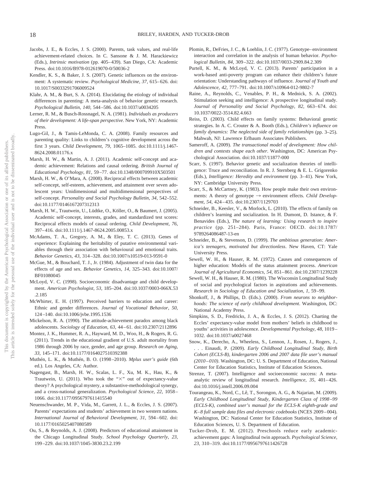- Jacobs, J. E., & Eccles, J. S. (2000). Parents, task values, and real-life achievement-related choices. In C. Sansone & J. M. Harackiewicz (Eds.), *Intrinsic motivation* (pp. 405– 439). San Diego, CA: Academic Press. doi:10.1016/B978-012619070-0/50036-2
- Kendler, K. S., & Baker, J. S. (2007). Genetic influences on the environment: A systematic review. *Psychological Medicine, 37,* 615– 626. doi: 10.1017/S0033291706009524
- Klahr, A. M., & Burt, S. A. (2014). Elucidating the etiology of individual differences in parenting: A meta-analysis of behavior genetic research. *Psychological Bulletin, 140,* 544 –586. doi:10.1037/a0034205
- Lerner, R. M., & Busch-Rossnagel, N. A. (1981). *Individuals as producers of their development: A life-span perspective*. New York, NY: Academic Press.
- Lugo-Gil, J., & Tamis-LeMonda, C. A. (2008). Family resources and parenting quality: Links to children's cognitive development across the first 3 years. *Child Development, 79,* 1065–1085. doi:10.1111/j.1467- 8624.2008.01176.x
- Marsh, H. W., & Martin, A. J. (2011). Academic self-concept and academic achievement: Relations and causal ordering. *British Journal of Educational Psychology, 81,* 59 –77. doi:10.1348/000709910X503501
- Marsh, H. W., & O'Mara, A. (2008). Reciprocal effects between academic self-concept, self-esteem, achievement, and attainment over seven adolescent years: Unidimensional and multidimensional perspectives of self-concept. *Personality and Social Psychology Bulletin, 34,* 542–552. doi:10.1177/0146167207312313
- Marsh, H. W., Trautwein, U., Lüdtke, O., Köller, O., & Baumert, J. (2005). Academic self-concept, interests, grades, and standardized test scores: Reciprocal effects models of causal ordering. *Child Development, 76,* 397– 416. doi:10.1111/j.1467-8624.2005.00853.x
- McAdams, T. A., Gregory, A. M., & Eley, T. C. (2013). Genes of experience: Explaining the heritability of putative environmental variables through their association with behavioural and emotional traits. *Behavior Genetics, 43,* 314 –328. doi:10.1007/s10519-013-9591-0
- McGue, M., & Bouchard, T. J., Jr. (1984). Adjustment of twin data for the effects of age and sex. *Behavior Genetics, 14,* 325–343. doi:10.1007/ BF01080045
- McLoyd, V. C. (1998). Socioeconomic disadvantage and child development. *American Psychologist, 53,* 185–204. doi:10.1037/0003-066X.53 .2.185
- McWhirter, E. H. (1997). Perceived barriers to education and career: Ethnic and gender differences. *Journal of Vocational Behavior, 50,* 124 –140. doi:10.1006/jvbe.1995.1536
- Mickelson, R. A. (1990). The attitude-achievement paradox among black adolescents. *Sociology of Education, 63,* 44 – 61. doi:10.2307/2112896
- Montez, J. K., Hummer, R. A., Hayward, M. D., Woo, H., & Rogers, R. G. (2011). Trends in the educational gradient of U.S. adult mortality from 1986 through 2006 by race, gender, and age group. *Research on Aging, 33,* 145–171. doi:10.1177/0164027510392388
- Muthén, L. K., & Muthén, B. O. (1998 –2010). *Mplus user's guide* (6th ed.). Los Angeles, CA: Author.
- Nagengast, B., Marsh, H. W., Scalas, L. F., Xu, M. K., Hau, K., & Trautwein, U. (2011). Who took the " $\times$ " out of expectancy-value theory? A psychological mystery, a substantive-methodological synergy, and a cross-national generalization. *Psychological Science, 22,* 1058 – 1066. doi:10.1177/0956797611415540
- Neuenschwander, M. P., Vida, M., Garrett, J. L., & Eccles, J. S. (2007). Parents' expectations and students' achievement in two western nations. *International Journal of Behavioral Development, 31,* 594 – 602. doi: 10.1177/0165025407080589
- Ou, S., & Reynolds, A. J. (2008). Predictors of educational attainment in the Chicago Longitudinal Study. *School Psychology Quarterly, 23,* 199 –229. doi:10.1037/1045-3830.23.2.199
- Plomin, R., DeFries, J. C., & Loehlin, J. C. (1977). Genotype– environment interaction and correlation in the analysis of human behavior. *Psychological Bulletin, 84,* 309 –322. doi:10.1037/0033-2909.84.2.309
- Purtell, K. M., & McLoyd, V. C. (2013). Parents' participation in a work-based anti-poverty program can enhance their children's future orientation: Understanding pathways of influence. *Journal of Youth and Adolescence, 42,* 777–791. doi:10.1007/s10964-012-9802-7
- Raine, A., Reynolds, C., Venables, P. H., & Mednick, S. A. (2002). Stimulation seeking and intelligence: A prospective longitudinal study. *Journal of Personality and Social Psychology, 82,* 663– 674. doi: 10.1037/0022-3514.82.4.663
- Reiss, D. (2003). Child effects on family systems: Behavioral genetic strategies. In A. C. Crouter & A. Booth (Eds.), *Children's influence on family dynamics: The neglected side of family relationships* (pp. 3–25). Mahwah, NJ: Lawrence Erlbaum Associates Publishers.
- Sameroff, A. (2009). *The transactional model of development: How children and contexts shape each other*. Washington, DC: American Psychological Association. doi:10.1037/11877-000
- Scarr, S. (1997). Behavior genetic and socialization theories of intelligence: Truce and reconciliation. In R. J. Sternberg & E. L. Grigorenko (Eds.), *Intelligence: Heredity and environment* (pp. 3– 41). New York, NY: Cambridge University Press.
- Scarr, S., & McCartney, K. (1983). How people make their own environments: A theory of genotype  $\rightarrow$  environment effects. *Child Development, 54,* 424 – 435. doi:10.2307/1129703
- Schneider, B., Keesler, V., & Morlock, L. (2010). The effects of family on children's learning and socialization. In H. Dumont, D. Istance, & F. Benavides (Eds.), *The nature of learning: Using research to inspire practice* (pp. 251–284). Paris, France: OECD. doi:10.1787/ 9789264086487-13-en
- Schneider, B., & Stevenson, D. (1999). *The ambitious generation: America's teenagers, motivated but directionless*. New Haven, CT: Yale University Press.
- Sewell, W. H., & Hauser, R. M. (1972). Causes and consequences of higher education: Models of the status attainment process. *American Journal of Agricultural Economics, 54,* 851– 861. doi:10.2307/1239228
- Sewell, W. H., & Hauser, R. M. (1980). The Wisconsin Longitudinal Study of social and psychological factors in aspirations and achievements. *Research in Sociology of Education and Socialization, 1,* 59 –99.
- Shonkoff, J., & Phillips, D. (Eds.). (2000). *From neurons to neighborhoods: The science of early childhood development*. Washington, DC: National Academy Press.
- Simpkins, S. D., Fredricks, J. A., & Eccles, J. S. (2012). Charting the Eccles' expectancy-value model from mothers' beliefs in childhood to youths' activities in adolescence. *Developmental Psychology, 48,* 1019 – 1032. doi:10.1037/a0027468
- Snow, K., Derecho, A., Wheeless, S., Lennon, J., Rosen, J., Rogers, J., . . . Einaudi, P. (2009). *Early Childhood Longitudinal Study, Birth Cohort (ECLS-B), kindergarten 2006 and 2007 data file user's manual (2010 – 010)*. Washington, DC: U. S. Department of Education, National Center for Education Statistics, Institute of Education Sciences.
- Strenze, T. (2007). Intelligence and socioeconomic success: A metaanalytic review of longitudinal research. *Intelligence*, 35, 401-426. doi:10.1016/j.intell.2006.09.004
- Tourangeau, K., Nord, C., Lê, T., Sorongon, A. G., & Najarian, M. (2009). *Early Childhood Longitudinal Study, Kindergarten Class of 1998 –99 (ECLS-K), combined user's manual for the ECLS-K eighth-grade and K– 8 full sample data files and electronic codebooks* (NCES 2009 – 004). Washington, DC: National Center for Education Statistics, Institute of Education Sciences, U. S. Department of Education.
- Tucker-Drob, E. M. (2012). Preschools reduce early academicachievement gaps: A longitudinal twin approach. *Psychological Science, 23,* 310 –319. doi:10.1177/0956797611426728